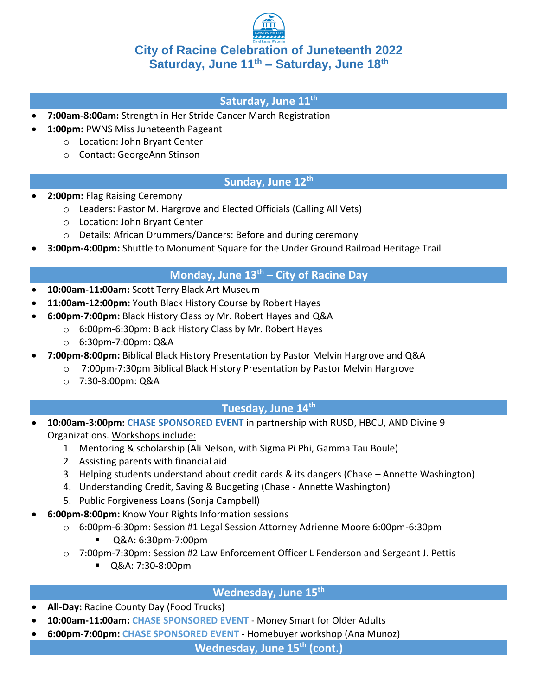

### **City of Racine Celebration of Juneteenth 2022 Saturday, June 11th – Saturday, June 18th**

#### **Saturday, June 11th**

- **7:00am-8:00am:** Strength in Her Stride Cancer March Registration
	- **1:00pm:** PWNS Miss Juneteenth Pageant
		- o Location: John Bryant Center
		- o Contact: GeorgeAnn Stinson

### **Sunday, June 12th**

- **2:00pm:** Flag Raising Ceremony
	- o Leaders: Pastor M. Hargrove and Elected Officials (Calling All Vets)
	- o Location: John Bryant Center
	- o Details: African Drummers/Dancers: Before and during ceremony
- **3:00pm-4:00pm:** Shuttle to Monument Square for the Under Ground Railroad Heritage Trail

#### **Monday, June 13th – City of Racine Day**

- **10:00am-11:00am:** Scott Terry Black Art Museum
- **11:00am-12:00pm:** Youth Black History Course by Robert Hayes
- **6:00pm-7:00pm:** Black History Class by Mr. Robert Hayes and Q&A
	- o 6:00pm-6:30pm: Black History Class by Mr. Robert Hayes
	- o 6:30pm-7:00pm: Q&A
- **7:00pm-8:00pm:** Biblical Black History Presentation by Pastor Melvin Hargrove and Q&A
	- o 7:00pm-7:30pm Biblical Black History Presentation by Pastor Melvin Hargrove
	- o 7:30-8:00pm: Q&A

### **Tuesday, June 14th**

- **10:00am-3:00pm: CHASE SPONSORED EVENT** in partnership with RUSD, HBCU, AND Divine 9 Organizations. Workshops include:
	- 1. Mentoring & scholarship (Ali Nelson, with Sigma Pi Phi, Gamma Tau Boule)
	- 2. Assisting parents with financial aid
	- 3. Helping students understand about credit cards & its dangers (Chase Annette Washington)
	- 4. Understanding Credit, Saving & Budgeting (Chase Annette Washington)
	- 5. Public Forgiveness Loans (Sonja Campbell)
- **6:00pm-8:00pm:** Know Your Rights Information sessions
	- o 6:00pm-6:30pm: Session #1 Legal Session Attorney Adrienne Moore 6:00pm-6:30pm
		- Q&A: 6:30pm-7:00pm
	- o 7:00pm-7:30pm: Session #2 Law Enforcement Officer L Fenderson and Sergeant J. Pettis
		- Q&A: 7:30-8:00pm

### **Wednesday, June 15th**

- **All-Day:** Racine County Day (Food Trucks)
- **10:00am-11:00am: CHASE SPONSORED EVENT** Money Smart for Older Adults
- **6:00pm-7:00pm: CHASE SPONSORED EVENT** Homebuyer workshop (Ana Munoz)

**Wednesday, June 15th (cont.)**